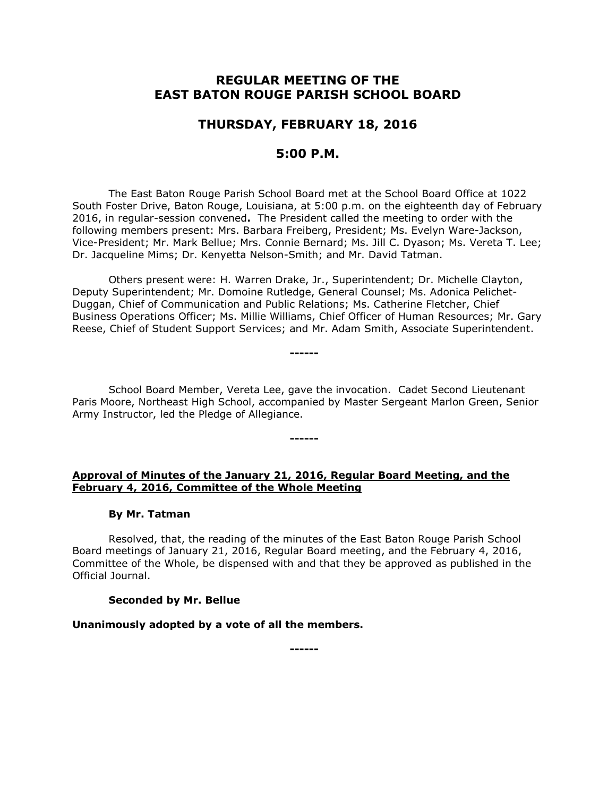# **REGULAR MEETING OF THE EAST BATON ROUGE PARISH SCHOOL BOARD**

# **THURSDAY, FEBRUARY 18, 2016**

## **5:00 P.M.**

The East Baton Rouge Parish School Board met at the School Board Office at 1022 South Foster Drive, Baton Rouge, Louisiana, at 5:00 p.m. on the eighteenth day of February 2016, in regular-session convened**.** The President called the meeting to order with the following members present: Mrs. Barbara Freiberg, President; Ms. Evelyn Ware-Jackson, Vice-President; Mr. Mark Bellue; Mrs. Connie Bernard; Ms. Jill C. Dyason; Ms. Vereta T. Lee; Dr. Jacqueline Mims; Dr. Kenyetta Nelson-Smith; and Mr. David Tatman.

Others present were: H. Warren Drake, Jr., Superintendent; Dr. Michelle Clayton, Deputy Superintendent; Mr. Domoine Rutledge, General Counsel; Ms. Adonica Pelichet-Duggan, Chief of Communication and Public Relations; Ms. Catherine Fletcher, Chief Business Operations Officer; Ms. Millie Williams, Chief Officer of Human Resources; Mr. Gary Reese, Chief of Student Support Services; and Mr. Adam Smith, Associate Superintendent.

School Board Member, Vereta Lee, gave the invocation. Cadet Second Lieutenant Paris Moore, Northeast High School, accompanied by Master Sergeant Marlon Green, Senior Army Instructor, led the Pledge of Allegiance.

**------**

**------**

### **Approval of Minutes of the January 21, 2016, Regular Board Meeting, and the February 4, 2016, Committee of the Whole Meeting**

#### **By Mr. Tatman**

Resolved, that, the reading of the minutes of the East Baton Rouge Parish School Board meetings of January 21, 2016, Regular Board meeting, and the February 4, 2016, Committee of the Whole, be dispensed with and that they be approved as published in the Official Journal.

#### **Seconded by Mr. Bellue**

**Unanimously adopted by a vote of all the members.**

**------**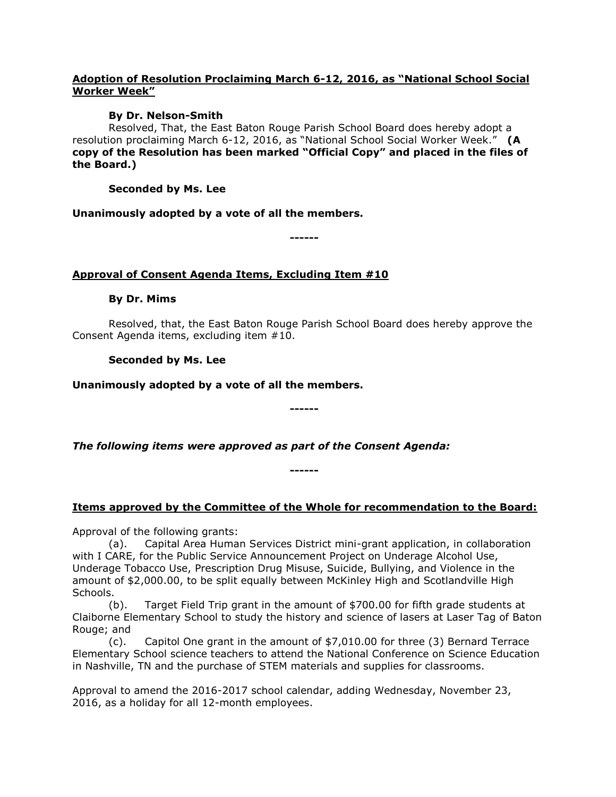### **Adoption of Resolution Proclaiming March 6-12, 2016, as "National School Social Worker Week"**

### **By Dr. Nelson-Smith**

Resolved, That, the East Baton Rouge Parish School Board does hereby adopt a resolution proclaiming March 6-12, 2016, as "National School Social Worker Week." **(A copy of the Resolution has been marked "Official Copy" and placed in the files of the Board.)**

**Seconded by Ms. Lee**

**Unanimously adopted by a vote of all the members.**

**------**

## **Approval of Consent Agenda Items, Excluding Item #10**

### **By Dr. Mims**

Resolved, that, the East Baton Rouge Parish School Board does hereby approve the Consent Agenda items, excluding item #10.

## **Seconded by Ms. Lee**

**Unanimously adopted by a vote of all the members.**

**------**

*The following items were approved as part of the Consent Agenda:*

## **Items approved by the Committee of the Whole for recommendation to the Board:**

**------**

Approval of the following grants:

(a). Capital Area Human Services District mini-grant application, in collaboration with I CARE, for the Public Service Announcement Project on Underage Alcohol Use, Underage Tobacco Use, Prescription Drug Misuse, Suicide, Bullying, and Violence in the amount of \$2,000.00, to be split equally between McKinley High and Scotlandville High Schools.

(b). Target Field Trip grant in the amount of \$700.00 for fifth grade students at Claiborne Elementary School to study the history and science of lasers at Laser Tag of Baton Rouge; and

(c). Capitol One grant in the amount of \$7,010.00 for three (3) Bernard Terrace Elementary School science teachers to attend the National Conference on Science Education in Nashville, TN and the purchase of STEM materials and supplies for classrooms.

Approval to amend the 2016-2017 school calendar, adding Wednesday, November 23, 2016, as a holiday for all 12-month employees.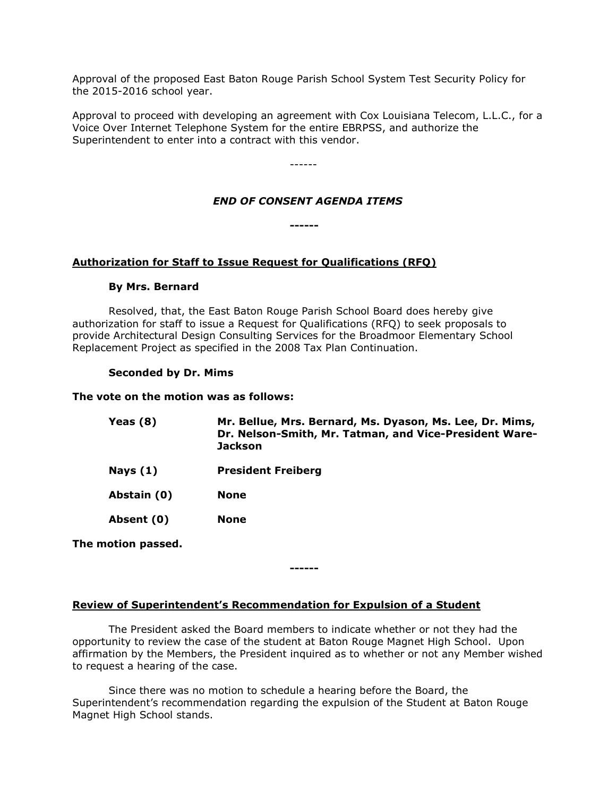Approval of the proposed East Baton Rouge Parish School System Test Security Policy for the 2015-2016 school year.

Approval to proceed with developing an agreement with Cox Louisiana Telecom, L.L.C., for a Voice Over Internet Telephone System for the entire EBRPSS, and authorize the Superintendent to enter into a contract with this vendor.

------

### *END OF CONSENT AGENDA ITEMS*

**------**

### **Authorization for Staff to Issue Request for Qualifications (RFQ)**

#### **By Mrs. Bernard**

Resolved, that, the East Baton Rouge Parish School Board does hereby give authorization for staff to issue a Request for Qualifications (RFQ) to seek proposals to provide Architectural Design Consulting Services for the Broadmoor Elementary School Replacement Project as specified in the 2008 Tax Plan Continuation.

#### **Seconded by Dr. Mims**

#### **The vote on the motion was as follows:**

| Yeas (8)    | Mr. Bellue, Mrs. Bernard, Ms. Dyason, Ms. Lee, Dr. Mims,<br>Dr. Nelson-Smith, Mr. Tatman, and Vice-President Ware-<br><b>Jackson</b> |
|-------------|--------------------------------------------------------------------------------------------------------------------------------------|
| Nays (1)    | <b>President Freiberg</b>                                                                                                            |
| Abstain (0) | None                                                                                                                                 |
| Absent (0)  | <b>None</b>                                                                                                                          |

**The motion passed.**

**Review of Superintendent's Recommendation for Expulsion of a Student**

The President asked the Board members to indicate whether or not they had the opportunity to review the case of the student at Baton Rouge Magnet High School. Upon affirmation by the Members, the President inquired as to whether or not any Member wished to request a hearing of the case.

**------**

Since there was no motion to schedule a hearing before the Board, the Superintendent's recommendation regarding the expulsion of the Student at Baton Rouge Magnet High School stands.